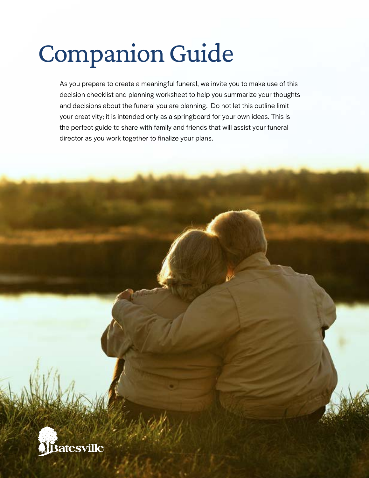# Companion Guide

As you prepare to create a meaningful funeral, we invite you to make use of this decision checklist and planning worksheet to help you summarize your thoughts and decisions about the funeral you are planning. Do not let this outline limit your creativity; it is intended only as a springboard for your own ideas. This is the perfect guide to share with family and friends that will assist your funeral director as you work together to finalize your plans.

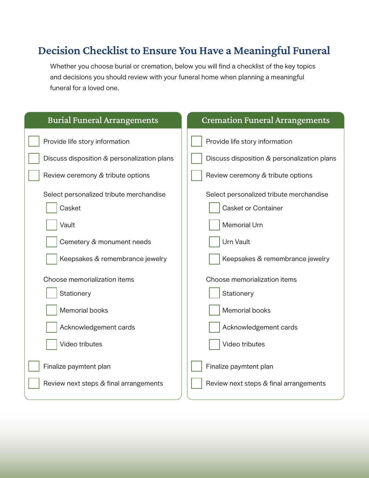## Decision Checklist to Ensure You Have a Meaningful Funeral

Whether you choose burial or cremation, below you will find a checklist of the key topics and decisions you should review with your funeral home when planning a meaningful funeral for a loved one.

| <b>Burial Funeral Arrangements</b>                                                      | <b>Cremation Funeral Arrangements</b>                                                       |  |  |
|-----------------------------------------------------------------------------------------|---------------------------------------------------------------------------------------------|--|--|
| Provide life story information                                                          | Provide life story information                                                              |  |  |
| Discuss disposition & personalization plans                                             | Discuss disposition & personalization plans                                                 |  |  |
| Review ceremony & tribute options                                                       | Review ceremony & tribute options                                                           |  |  |
| Select personalized tribute merchandise<br>Casket<br>Vault<br>Cemetery & monument needs | Select personalized tribute merchandise<br>Casket or Container<br>Memorial Urn<br>Urn Vault |  |  |
| Keepsakes & remembrance jewelry                                                         | Keepsakes & remembrance jewelry                                                             |  |  |
| Choose memorialization items                                                            | Choose memorialization items                                                                |  |  |
| Stationery                                                                              | Stationery                                                                                  |  |  |
| Memorial books                                                                          | Memorial books                                                                              |  |  |
| Acknowledgement cards                                                                   | Acknowledgement cards                                                                       |  |  |
| Video tributes                                                                          | Video tributes                                                                              |  |  |
| Finalize paymtent plan                                                                  | Finalize paymtent plan                                                                      |  |  |
| Review next steps & final arrangements                                                  | Review next steps & final arrangements                                                      |  |  |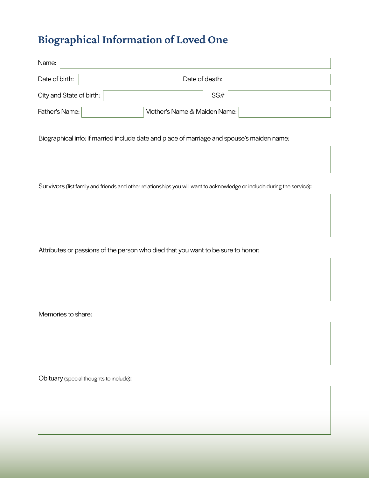# Biographical Information of Loved One

| Name:                    |                              |  |
|--------------------------|------------------------------|--|
| Date of birth:           | Date of death:               |  |
| City and State of birth: | SS#                          |  |
| Father's Name:           | Mother's Name & Maiden Name: |  |

Biographical info: if married include date and place of marriage and spouse's maiden name:

Survivors (list family and friends and other relationships you will want to acknowledge or include during the service):

Attributes or passions of the person who died that you want to be sure to honor:

Memories to share:

Obituary (special thoughts to include):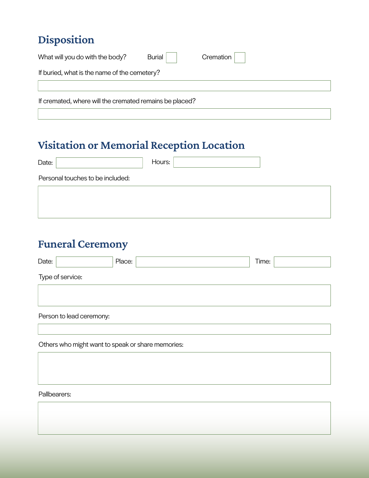# Disposition

| What will you do with the body?                         | Burial | Cremation |  |  |
|---------------------------------------------------------|--------|-----------|--|--|
| If buried, what is the name of the cemetery?            |        |           |  |  |
|                                                         |        |           |  |  |
| If cremated, where will the cremated remains be placed? |        |           |  |  |

# Visitation or Memorial Reception Location

| Date:                            | Hours: |  |
|----------------------------------|--------|--|
| Personal touches to be included: |        |  |
|                                  |        |  |
|                                  |        |  |

# Funeral Ceremony

| Date:                                             | Place:                   |  | Time: |  |  |  |
|---------------------------------------------------|--------------------------|--|-------|--|--|--|
| Type of service:                                  |                          |  |       |  |  |  |
|                                                   |                          |  |       |  |  |  |
|                                                   |                          |  |       |  |  |  |
|                                                   | Person to lead ceremony: |  |       |  |  |  |
|                                                   |                          |  |       |  |  |  |
| Others who might want to speak or share memories: |                          |  |       |  |  |  |
|                                                   |                          |  |       |  |  |  |
|                                                   |                          |  |       |  |  |  |
|                                                   |                          |  |       |  |  |  |
| Pallbearers:                                      |                          |  |       |  |  |  |
|                                                   |                          |  |       |  |  |  |